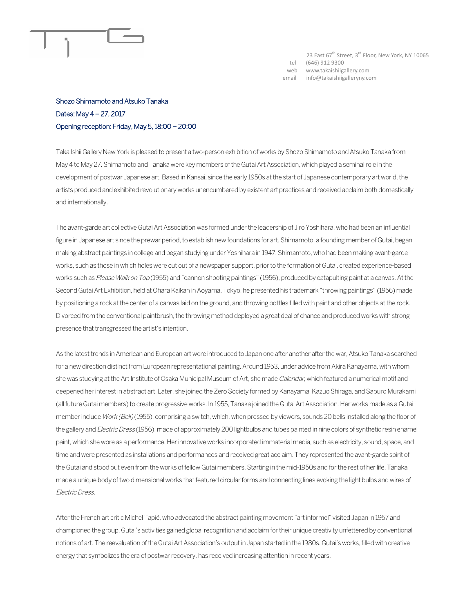

23 East 67<sup>th</sup> Street, 3<sup>rd</sup> Floor, New York, NY 10065 tel (646) 912 9300 web www.takaishiigallery.com email info@takaishiigalleryny.com

## Shozo Shimamoto and Atsuko Tanaka Dates: May 4 – 27, 2017 Opening reception: Friday, May 5, 18:00 – 20:00

Taka Ishii Gallery New York is pleased to present a two-person exhibition of works by Shozo Shimamoto and Atsuko Tanaka from May 4 to May 27. Shimamoto and Tanaka were key members of the Gutai Art Association, which played a seminal role in the development of postwar Japanese art. Based in Kansai, since the early 1950s at the start of Japanese contemporary art world, the artists produced and exhibited revolutionary works unencumbered by existent art practices and received acclaim both domestically and internationally.

The avant-garde art collective Gutai Art Association was formed under the leadership of Jiro Yoshihara, who had been an influential figure in Japanese art since the prewar period, to establish new foundations for art. Shimamoto, a founding member of Gutai, began making abstract paintings in college and began studying under Yoshihara in 1947. Shimamoto, who had been making avant-garde works, such as those in which holes were cut out of a newspaper support, prior to the formation of Gutai, created experience-based works such as Please Walk on Top (1955) and "cannon shooting paintings" (1956), produced by catapulting paint at a canvas. At the Second Gutai Art Exhibition, held at Ohara Kaikan in Aoyama, Tokyo, he presented his trademark "throwing paintings" (1956) made by positioning a rock at the center of a canvas laid on the ground, and throwing bottles filled with paint and other objects at the rock. Divorced from the conventional paintbrush, the throwing method deployed a great deal of chance and produced works with strong presence that transgressed the artist's intention.

As the latest trends in American and European art were introduced to Japan one after another after the war, Atsuko Tanaka searched for a new direction distinct from European representational painting. Around 1953, under advice from Akira Kanayama, with whom she was studying at the Art Institute of Osaka Municipal Museum of Art, she made Calendar, which featured a numerical motif and deepened her interest in abstract art. Later, she joined the Zero Society formed by Kanayama, Kazuo Shiraga, and Saburo Murakami (all future Gutai members) to create progressive works. In 1955, Tanaka joined the Gutai Art Association. Her works made as a Gutai member include Work (Bell) (1955), comprising a switch, which, when pressed by viewers, sounds 20 bells installed along the floor of the gallery and Electric Dress (1956), made of approximately 200 lightbulbs and tubes painted in nine colors of synthetic resin enamel paint, which she wore as a performance. Her innovative works incorporated immaterial media, such as electricity, sound, space, and time and were presented as installations and performances and received great acclaim. They represented the avant-garde spirit of the Gutai and stood out even from the works of fellow Gutai members. Starting in the mid-1950s and for the rest of her life, Tanaka made a unique body of two dimensional works that featured circular forms and connecting lines evoking the light bulbs and wires of Electric Dress.

After the French art critic Michel Tapié, who advocated the abstract painting movement "art informel" visited Japan in 1957 and championed the group, Gutai's activities gained global recognition and acclaim for their unique creativity unfettered by conventional notions of art. The reevaluation of the Gutai Art Association's output in Japan started in the 1980s. Gutai's works, filled with creative energy that symbolizes the era of postwar recovery, has received increasing attention in recent years.